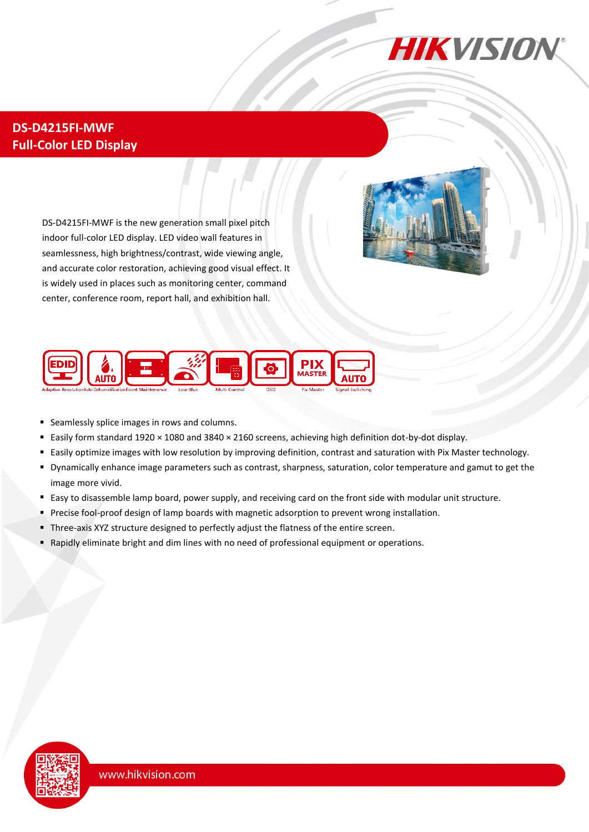

## **DS-D4215FI-MWF Full-Color LED Display**

DS-D4215FI-MWF is the new generation small pixel pitch indoor full-color LED display. LED video wall features in seamlessness, high brightness/contrast, wide viewing angle, and accurate color restoration, achieving good visual effect. It is widely used in places such as monitoring center, command center, conference room, report hall, and exhibition hall.



- Seamlessly splice images in rows and columns.
- Easily form standard 1920 × 1080 and 3840 × 2160 screens, achieving high definition dot-by-dot display.
- Easily optimize images with low resolution by improving definition, contrast and saturation with Pix Master technology.
- Dynamically enhance image parameters such as contrast, sharpness, saturation, color temperature and gamut to get the image more vivid.
- Easy to disassemble lamp board, power supply, and receiving card on the front side with modular unit structure.
- **Precise fool-proof design of lamp boards with magnetic adsorption to prevent wrong installation.**
- Three-axis XYZ structure designed to perfectly adjust the flatness of the entire screen.
- Rapidly eliminate bright and dim lines with no need of professional equipment or operations.

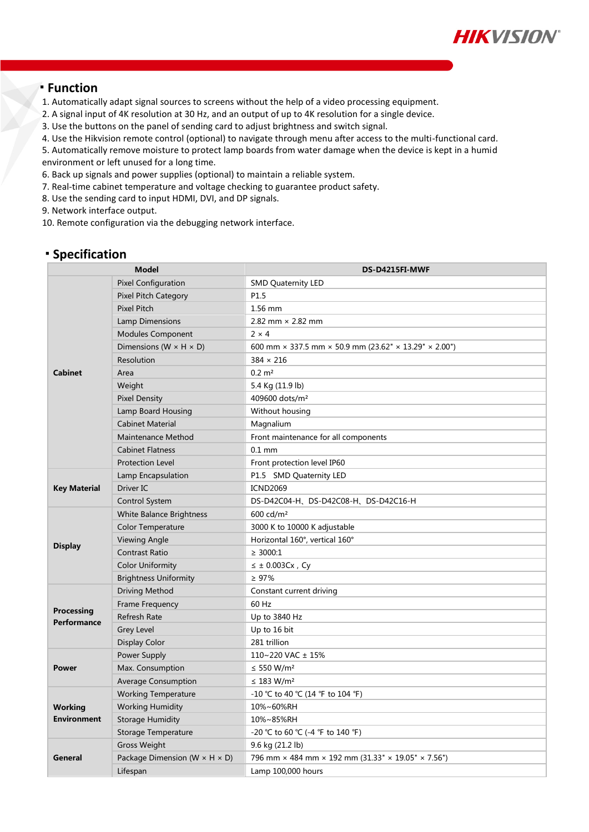

#### **Function**

- 1. Automatically adapt signal sources to screens without the help of a video processing equipment.
- 2. A signal input of 4K resolution at 30 Hz, and an output of up to 4K resolution for a single device.
- 3. Use the buttons on the panel of sending card to adjust brightness and switch signal.
- 4. Use the Hikvision remote control (optional) to navigate through menu after access to the multi-functional card.
- 5. Automatically remove moisture to protect lamp boards from water damage when the device is kept in a humid

environment or left unused for a long time.

- 6. Back up signals and power supplies (optional) to maintain a reliable system.
- 7. Real-time cabinet temperature and voltage checking to guarantee product safety.
- 8. Use the sending card to input HDMI, DVI, and DP signals.
- 9. Network interface output.
- 10. Remote configuration via the debugging network interface.

#### **Specification**

| <b>Model</b>                         |                                             | DS-D4215FI-MWF                                                                    |
|--------------------------------------|---------------------------------------------|-----------------------------------------------------------------------------------|
| <b>Cabinet</b>                       | <b>Pixel Configuration</b>                  | <b>SMD Quaternity LED</b>                                                         |
|                                      | <b>Pixel Pitch Category</b>                 | P1.5                                                                              |
|                                      | <b>Pixel Pitch</b>                          | 1.56 mm                                                                           |
|                                      | Lamp Dimensions                             | 2.82 mm $\times$ 2.82 mm                                                          |
|                                      | <b>Modules Component</b>                    | $2 \times 4$                                                                      |
|                                      | Dimensions (W $\times$ H $\times$ D)        | 600 mm $\times$ 337.5 mm $\times$ 50.9 mm (23.62" $\times$ 13.29" $\times$ 2.00") |
|                                      | Resolution                                  | $384 \times 216$                                                                  |
|                                      | Area                                        | $0.2 \, \text{m}^2$                                                               |
|                                      | Weight                                      | 5.4 Kg (11.9 lb)                                                                  |
|                                      | <b>Pixel Density</b>                        | 409600 dots/m <sup>2</sup>                                                        |
|                                      | Lamp Board Housing                          | Without housing                                                                   |
|                                      | <b>Cabinet Material</b>                     | Magnalium                                                                         |
|                                      | Maintenance Method                          | Front maintenance for all components                                              |
|                                      | <b>Cabinet Flatness</b>                     | $0.1$ mm                                                                          |
|                                      | <b>Protection Level</b>                     | Front protection level IP60                                                       |
| <b>Key Material</b>                  | Lamp Encapsulation                          | P1.5 SMD Quaternity LED                                                           |
|                                      | Driver IC                                   | <b>ICND2069</b>                                                                   |
|                                      | <b>Control System</b>                       | DS-D42C04-H、DS-D42C08-H、DS-D42C16-H                                               |
| <b>Display</b>                       | <b>White Balance Brightness</b>             | $600 \text{ cd/m}^2$                                                              |
|                                      | <b>Color Temperature</b>                    | 3000 K to 10000 K adjustable                                                      |
|                                      | <b>Viewing Angle</b>                        | Horizontal 160°, vertical 160°                                                    |
|                                      | <b>Contrast Ratio</b>                       | $\geq$ 3000:1                                                                     |
|                                      | <b>Color Uniformity</b>                     | $\leq$ ± 0.003Cx, Cy                                                              |
|                                      | <b>Brightness Uniformity</b>                | $\geq 97\%$                                                                       |
| Processing<br>Performance            | Driving Method                              | Constant current driving                                                          |
|                                      | Frame Frequency                             | 60 Hz                                                                             |
|                                      | <b>Refresh Rate</b>                         | Up to 3840 Hz                                                                     |
|                                      | Grey Level                                  | Up to 16 bit                                                                      |
|                                      | Display Color                               | 281 trillion                                                                      |
| Power                                | Power Supply                                | 110~220 VAC ± 15%                                                                 |
|                                      | Max. Consumption                            | ≤ 550 W/m <sup>2</sup>                                                            |
|                                      | <b>Average Consumption</b>                  | $\leq$ 183 W/m <sup>2</sup>                                                       |
| <b>Working</b><br><b>Environment</b> | <b>Working Temperature</b>                  | -10 °C to 40 °C (14 °F to 104 °F)                                                 |
|                                      | <b>Working Humidity</b>                     | 10%~60%RH                                                                         |
|                                      | <b>Storage Humidity</b>                     | 10%~85%RH                                                                         |
|                                      | Storage Temperature                         | -20 °C to 60 °C (-4 °F to 140 °F)                                                 |
| General                              | <b>Gross Weight</b>                         | 9.6 kg (21.2 lb)                                                                  |
|                                      | Package Dimension (W $\times$ H $\times$ D) | 796 mm × 484 mm × 192 mm (31.33" × 19.05" × 7.56")                                |
|                                      | Lifespan                                    | Lamp 100,000 hours                                                                |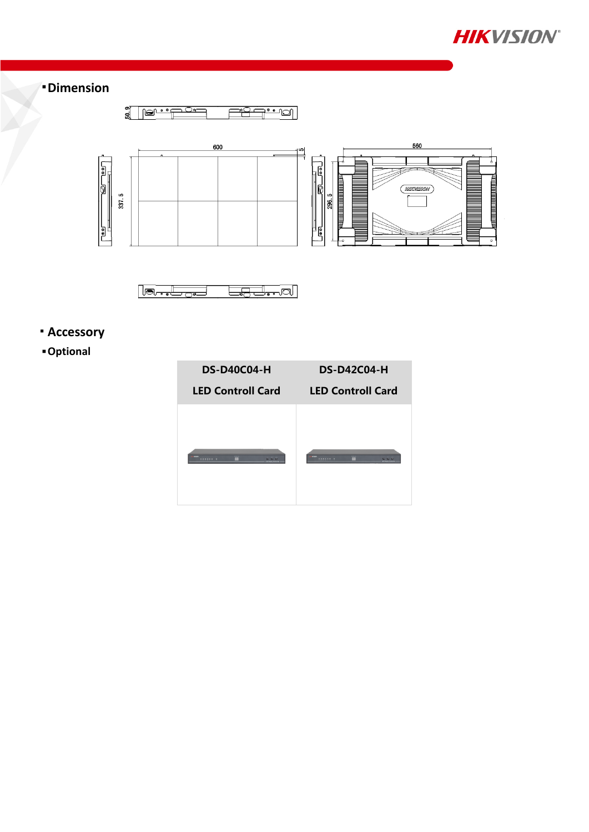

## **Dimension**





# **Accessory**

### **Optional**